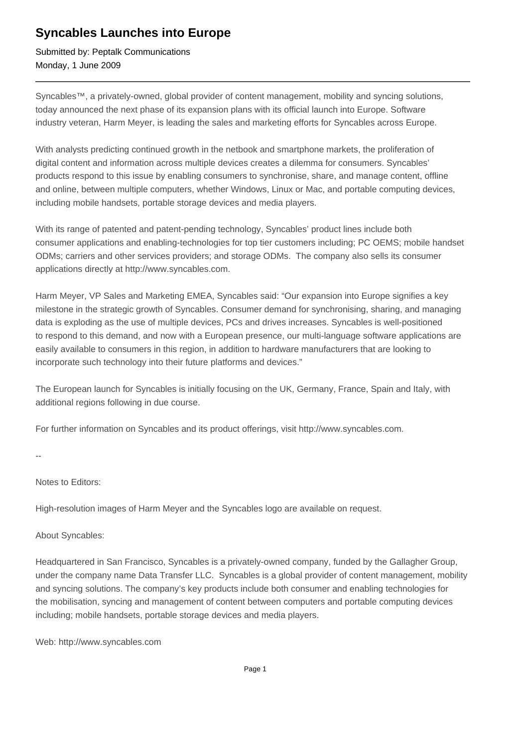## **Syncables Launches into Europe**

Submitted by: Peptalk Communications Monday, 1 June 2009

Syncables™, a privately-owned, global provider of content management, mobility and syncing solutions, today announced the next phase of its expansion plans with its official launch into Europe. Software industry veteran, Harm Meyer, is leading the sales and marketing efforts for Syncables across Europe.

With analysts predicting continued growth in the netbook and smartphone markets, the proliferation of digital content and information across multiple devices creates a dilemma for consumers. Syncables' products respond to this issue by enabling consumers to synchronise, share, and manage content, offline and online, between multiple computers, whether Windows, Linux or Mac, and portable computing devices, including mobile handsets, portable storage devices and media players.

With its range of patented and patent-pending technology, Syncables' product lines include both consumer applications and enabling-technologies for top tier customers including; PC OEMS; mobile handset ODMs; carriers and other services providers; and storage ODMs. The company also sells its consumer applications directly at http://www.syncables.com.

Harm Meyer, VP Sales and Marketing EMEA, Syncables said: "Our expansion into Europe signifies a key milestone in the strategic growth of Syncables. Consumer demand for synchronising, sharing, and managing data is exploding as the use of multiple devices, PCs and drives increases. Syncables is well-positioned to respond to this demand, and now with a European presence, our multi-language software applications are easily available to consumers in this region, in addition to hardware manufacturers that are looking to incorporate such technology into their future platforms and devices."

The European launch for Syncables is initially focusing on the UK, Germany, France, Spain and Italy, with additional regions following in due course.

For further information on Syncables and its product offerings, visit http://www.syncables.com.

--

Notes to Editors:

High-resolution images of Harm Meyer and the Syncables logo are available on request.

About Syncables:

Headquartered in San Francisco, Syncables is a privately-owned company, funded by the Gallagher Group, under the company name Data Transfer LLC. Syncables is a global provider of content management, mobility and syncing solutions. The company's key products include both consumer and enabling technologies for the mobilisation, syncing and management of content between computers and portable computing devices including; mobile handsets, portable storage devices and media players.

Web: http://www.syncables.com